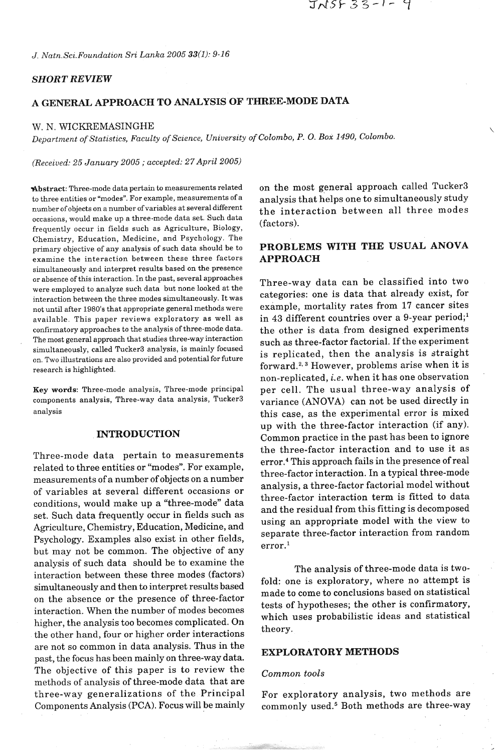*J. Natn.Sci.Foundation Sri Lanka 2005 33(1): 9-16* 

## *SHORT REVIEW*

# **A GENERAJL APPROACH TO ANALYSIS OF THREE-MODE DATA**

### W. N. WICKREMASINGHE

*Department* of *Statistics, Faculty of Science, University of Colombo, P.* 0. *Box 1490, Colombo.* 

*(Received: 25 January 2005* ; *accepted: 27 April 2005)* 

to three entities or "modes". For example, measurements of a analysis that helps one to simultaneously study number of objects on a number of variables at several different the interaction between all three modes occasions, would make up a three-mode data set. Such data frequently occur in fields such as Agriculture, Biology, (factors). Chemistry, Education, Medicine, and Psychology. The primary objective of any analysis of such data should be to **PROBLEMS WITH THE USUAL ANOVA**  examine the interaction between these three factors **APPROACH**  simultaneously and interpret results based on the presence or absence of this interaction. In the past, several approaches were employed to analyze such data but none looked at the interaction between the three modes simultaneously. It was not until after 1980's that appropriate general methods were available. This paper reviews exploratory as well as confirmatory approaches to the analysis of three-mode data. The most general approach that studies three-way interaction simultaneously, called Tucker3 analysis, is mainly focused on. Two illustrations are also provided and potential for future research is highlighted.

**Key** words: Three-mode analysis, Three-mode principal components analysis, Three-way data analysis, Tucker3 analysis

### **INTRODUCTION**

Three-mode data pertain to measurements related to three entities or "modes". For example, measurements of a number of objects on a number of variables at several different occasions or conditions, would make up a "three-mode" data set. Such data frequently occur in fields such as Agriculture, Chemistry, Education, Medicine, and Psychology. Examples also exist in other fields, but may not be common. The objective of any analysis of such data should be to examine the interaction between these three modes (factors) simultaneously and then to interpret results based on the absence or the presence of three-factor interaction. When the number of modes becomes higher, the analysis too becomes complicated. On the other hand, four or higher order interactions are not so common in data analysis. Thus in the past, the focus has been mainly on three-way data. **EXPLORATORY METHODS** The objective of this paper is to review the *Common tools*  methods of analysis of three-mode data that are three-way generalizations of the Principal For exploratory analysis, two methods are

Abstract: Three-mode data pertain to measurements related on the most general approach called Tucker3

Three-way data can be classified into two categories: one is data that already exist, for example, mortality rates from 17 cancer sites in **43** different countries over a 9-year period;' the other is data from designed experiments such as three-factor factorial. If the experiment is replicated, then the analysis is straight forward.<sup>2, 3</sup> However, problems arise when it is non-replicated, *i.e.* when it has one observation per cell. The usual three-way analysis of variance (ANOVA) can not be used directly in this case, as the experimental error is mixed up with the three-factor interaction (if any). Common practice in the past has been to ignore the three-factor interaction and to use it as error.4 This approach fails in the presence of real three-factor interaction. In a typical three-mode analysis, a three-factor factorial model without three-factor interaction term is fitted to data and the residual from this fitting is decomposed using an appropriate model with the view to separate three-factor interaction from random<br>error.<sup>1</sup>

The analysis of three-mode data is twofold: one is exploratory, where no attempt is made to come to conclusions based on statistical tests of hypotheses; the other is confirmatory, which uses probabilistic ideas and statistical theory.

Components Analysis **(PCA).** Focus will be mainly commonly used.5 Both methods are three-way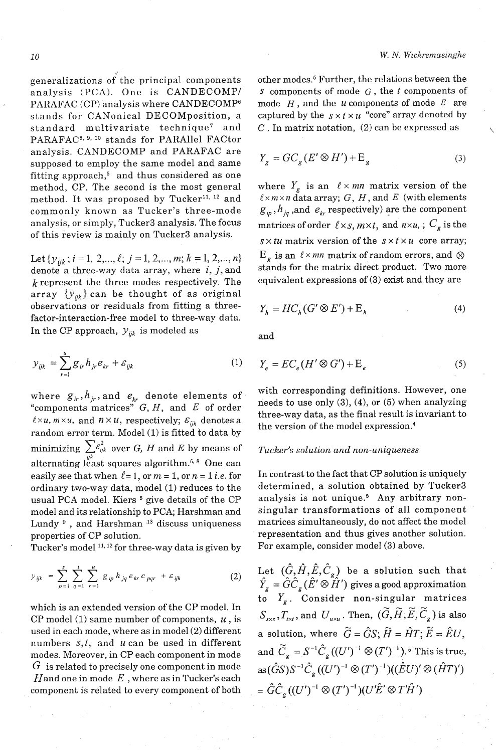generalizations of the principal components analysis (PCA). One is CANDECOMP/ PARAFAC (CP) analysis where CANDECOMP<sup>6</sup> stands for CANonical DECOMposition, a<br>standard multivariate technique<sup>7</sup> and standard multivariate technique<sup>7</sup> PARAFAC<sup>8, 9, 10</sup> stands for PARAllel FACtor analysis. CANDECOMP and PARAFAC are supposed to employ the same model and same fitting approach, $5$  and thus considered as one method, CP. The second is the most general method. It was proposed by Tucker<sup>11, 12</sup> and commonly known as Tucker's three-mode analysis, or simply, Tucker3 analysis. The focus of this review is mainly on Tucker3 analysis.

Let  $\{y_{ijk}; i=1, 2, ..., \ell; j=1, 2, ..., m; k=1, 2, ..., n\}$ denote a three-way data array, where i, *j,* and  $k$  represent the three modes respectively. The array  $\{y_{ijk}\}$  can be thought of as original observations or residuals from fitting a threefactor-interaction-free model to three-way data. In the CP approach,  $y_{ijk}$  is modeled as

$$
y_{ijk} = \sum_{r=1}^{u} g_{ir} h_{jr} e_{kr} + \varepsilon_{ijk}
$$
 (1)

"components matrices"  $G, H$ , and E of order needs to use only (3), (4), or (5) when analyzing "components matrices"  $G, H$ , and E of order three way data as the final result is inversion to  $\ell \times u, m \times u$ , and  $n \times u$ , respectively;  $\varepsilon_{ijk}$  denotes a the version of the model expression.<sup>4</sup> the version of the model expression.<sup>4</sup> minimizing  $\sum \varepsilon_{ijk}^2$  over G, H and E by means of alternating least squares algorithm.<sup>6, 8</sup> One can easily see that when  $l=1$ , or  $m = 1$ , or  $n = 1$  *i.e.* for ordinary two-way data, model (1) reduces to the usual PCA model. Kiers<sup>5</sup> give details of the CP model and its relationship to PCA; Harshman and Lundy<sup>9</sup>, and Harshman<sup>13</sup> discuss uniqueness properties of CP solution.

Tucker's model **l1, l2** for three-way data is given by

$$
y_{ijk} = \sum_{p=1}^{s} \sum_{q=1}^{t} \sum_{r=1}^{u} g_{ip} h_{jq} e_{kr} c_{pqr} + \varepsilon_{ijk}
$$
 (2)

which is an extended version of the CP model. In CP model (1) same number of components,  $u$ , is used in each mode, where as in model **(2)** different numbers *s*,*t*, and *u* can be used in different modes. Moreover, in CP each component in mode *G* is related to precisely one component in mode Hand one in mode *E* , where as in Tucker's each component is related to every component of both

other modes.5 Further, the relations between the *s* components of mode G , the *t* components of mode  $H$ , and the  $u$  components of mode  $E$  are captured by the  $s \times t \times u$  "core" array denoted by C . In matrix notation, **(2)** can be expressed as

$$
Y_g = GC_g(E' \otimes H') + E_g \tag{3}
$$

where  $Y_g$  is an  $\ell \times mn$  matrix version of the  $\ell \times m \times n$  data array; G, H, and E (with elements  $g_{ip}$ ,  $h_{jq}$ , and  $e_{kr}$  respectively) are the component matrices of order  $\ell \times s$ ,  $m \times t$ , and  $n \times u$ , ;  $C_g$  is the  $s \times tu$  matrix version of the  $s \times t \times u$  core array;  $E_g$  is an  $\ell \times mn$  matrix of random errors, and  $\otimes$ stands for the matrix direct product. Two more equivalent expressions of **(3)** exist and they are

$$
Y_h = HC_h(G' \otimes E') + \mathcal{E}_h \tag{4}
$$

and

$$
(1) \t Y_e = EC_e(H' \otimes G') + E_e \t (5)
$$

where  $g_{ir}$ ,  $h_{jr}$ , and  $e_{kr}$  denote elements of with corresponding definitions. However, one

### *Tucker's solution and non-uniqueness*

In contrast to the fact that CP solution is uniquely determined, a solution obtained by Tucker3 analysis is not unique.<sup>5</sup> Any arbitrary nonsingular transformations of all component matrices simultaneously, do not affect the model representation and thus gives another solution. For example, consider model **(3)** above.

Let  $(G, H, E, C_g)$  be a solution such that  $\hat{Y}_g = \hat{G}\hat{C}_g(\hat{E}' \otimes \hat{H}')$  gives a good approximation to  $Y_g$ . Consider non-singular matrices<br>  $G = T_g$  and  $H = T_g$   $(\widetilde{G}, \widetilde{H}, \widetilde{F}, \widetilde{G})$  is also  $S_{_{SSS}}, T_{_{\!f\!N\!f}},$  and  $\,U_{_{\!u\!N\!u}}.$  Then,  $\,(\widetilde{G},\widetilde{H},\widetilde{E},\widetilde{C}_{_{\cal R}})$  is also a solution, where  $\widetilde{G} = \widehat{G}S$ ;  $\widetilde{H} = \widehat{H}T$ ;  $\widetilde{E} = \widehat{E}U$ , and  $\widetilde{C}_g = S^{-1} \hat{C}_g ((U')^{-1} \otimes (T')^{-1})$ .<sup>5</sup> This is true,  $as(\hat{G}S)S^{-1}\hat{C}_{g}((U')^{-1}\otimes (T')^{-1})((\hat{E}U)' \otimes (\hat{H}T)')$  $= \hat{G} \hat{C}_e ((U')^{-1} \otimes (T')^{-1}) (U'\hat{E}' \otimes T'\hat{H}')$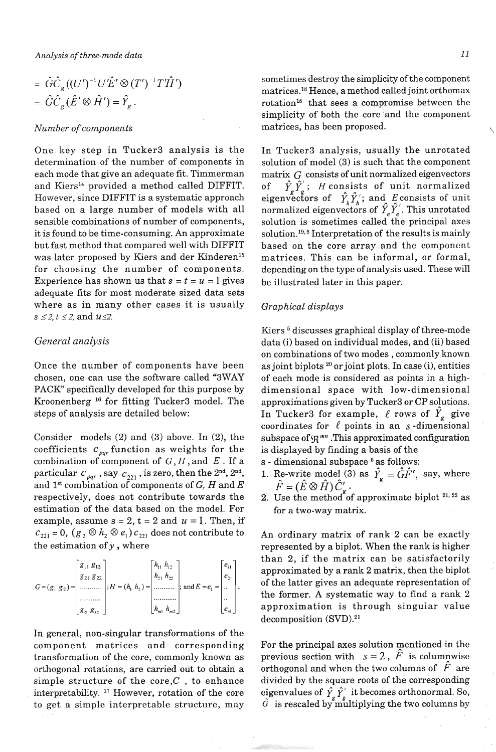*Analysis of three-mode data 11* 

$$
= \hat{G}\hat{C}_g((U')^{-1}U'\hat{E}' \otimes (T')^{-1}T'\hat{H}')
$$
  

$$
= \hat{G}\hat{C}_g(\hat{E}' \otimes \hat{H}') = \hat{Y}_g.
$$

#### *Number of components*

One key step in Tucker3 analysis is the determination of the number of components in each mode that give an adequate fit. Timmerman and Kiers<sup>14</sup> provided a method called DIFFIT. However, since DIFFIT is a systematic approach based on a large number of models with all sensible combinations of number of components, it is found to be time-consuming. An approximate but fast method that compared well with DIFFIT was later proposed by Kiers and der Kinderen<sup>15</sup> for choosing the number of components. Experience has shown us that  $s = t = u = 1$  gives adequate fits for most moderate sized data sets where as in many other cases it is usually  $s \leq 2, t \leq 2,$  and  $u \leq 2$ .

# *General analysis*

Once the number of components have been chosen, one can use the software called "3WAY PACK" specifically developed for this purpose by Kroonenberg<sup>16</sup> for fitting Tucker3 model. The steps of analysis are detailed below:

Consider models (2) and (3) above. In (2), the coefficients  $c_{\text{par}}$  function as weights for the combination of component of  $G, H$ , and  $E$ . If a particular  $c_{pqr}$ , say  $c_{221}$ , is zero, then the 2<sup>nd</sup>, 2<sup>nd</sup>, and 1<sup>st</sup> combination of components of *G*, *H* and *E* respectively, does not contribute towards the estimation of the data based on the model. For example, assume  $s = 2$ ,  $t = 2$  and  $u = 1$ . Then, if  $c_{221} = 0$ ,  $(g_2 \otimes h_2 \otimes e_1) c_{221}$  does not contribute to the estimation of *y* , where

$$
G = (g_1 \ g_2) = \begin{bmatrix} g_{11} & g_{12} \\ g_{21} & g_{22} \\ \dots & \dots & \dots \\ g_{\alpha} \ g_{\alpha} \end{bmatrix}; H = (h_1 \ h_2) = \begin{bmatrix} h_{11} & h_{12} \\ h_{21} & h_{22} \\ \dots & \dots & \dots \\ h_{m1} & h_{m2} \end{bmatrix}; \text{ and } E = e_1 = \begin{bmatrix} e_{11} \\ e_{21} \\ \dots \\ e_{m1} \end{bmatrix}.
$$

In general, non-singular transformations of the component matrices and corresponding For the principal axes solution mentioned in the transformation of the core, commonly known as previous section with  $s = 2$ ,  $\ddot{F}$  is columnwise orthogonal rotations, are carried out to obtain a orthogonal and when the two columns of  $F$  are simple structure of the core, $C$ , to enhance divided by the square roots of the corresponding interpretability.<sup>17</sup> However, rotation of the core eigenvalues of  $\hat{Y}_g \hat{Y}_g'$  it becomes orthonormal. So, interpretability.<sup>17</sup> However, rotation of the core eigenvalues of  $\hat{Y}_g \hat{Y}_g'$  it becomes orthonormal. So, to get a simple interpretable structure, may  $\hat{G}$  is rescaled by multiplying the two columns by

sometimes destroy the simplicity of the component matrices.18 Hence, a method called joint orthomax rotation<sup>18</sup> that sees a compromise between the simplicity of both the core and the component matrices, has been proposed.

In Tucker3 analysis, usually the unrotated solution of model (3) is such that the component matrix *G* consists of unit normalized eigenvectors of  $\hat{Y}_a \hat{Y}_a$ ; *H* consists of unit normalized eigenvectors of  $\hat{Y}_h \hat{Y}_h$ ; and E consists of unit normalized eigenvectors of  $Y_eY_e$ . This unrotated solution is sometimes called the principal axes solution.<sup>19,5</sup> Interpretation of the results is mainly based on the core array and the component matrices. This can be informal, or formal, depending on the type of analysis used. These will be illustrated later in this paper.

## *Graphical displays*

Kiers<sup>5</sup> discusses graphical display of three-mode data (i) based on individual modes, and (ii) based on combinations of two modes , commonly known as joint biplots **20** or joint plots. In case (i), entities of each mode is considered as points in a highdimensional space with low-dimensional approximations given by Tucker3 or CP solutions. In Tucker3 for example,  $\ell$  rows of  $Y_{g}$  give coordinates for  $\ell$  points in an  $s$ -dimensional subspace of  $\mathfrak{R}^{mn}$ . This approximated configuration is displayed by finding a basis of the

- s dimensional subspace<sup>5</sup> as follows:
- 1. Re-write model (3) as  $\hat{Y}_g = \hat{G}\hat{F}'$ , say, where  $\hat{F} = (\hat{E} \otimes \hat{H})\hat{C}'_g$ .
- 2. Use the method of approximate biplot  $2^{1,22}$  as for a two-way matrix.

An ordinary matrix of rank **2** can be exactly represented by a biplot. When the rank is higher than 2, if the matrix can be satisfactorily approximated by a rank 2 matrix, then the biplot of the latter gives an adequate representation of the former. A systematic way to find a rank 2 approximation is through singular value decomposition (SVD).21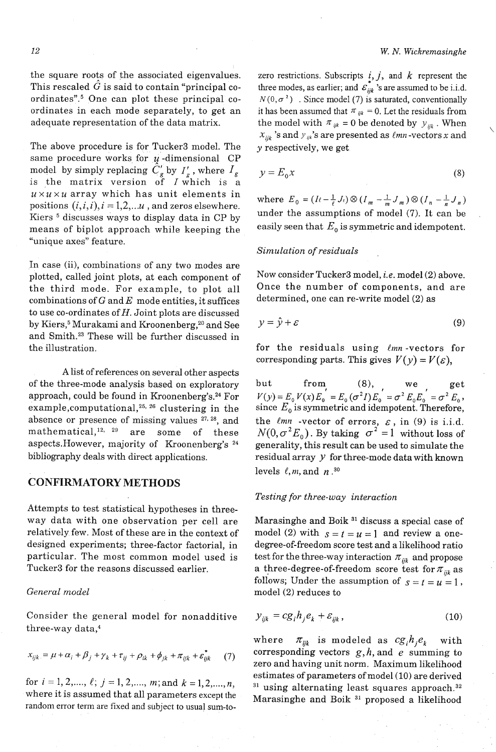the square roots of the associated eigenvalues. This rescaled  $\hat{G}$  is said to contain "principal coordinates".<sup>5</sup> One can plot these principal coordinates in each mode separately, to get an adequate representation of the data matrix.

The above procedure is for Tucker3 model. The same procedure works for  $\mu$ -dimensional CP model by simply replacing  $C'_g$  by  $I'_g$ , where  $I_g$ is the matrix version of  $I$  which is a  $u \times u \times u$  array which has unit elements in positions  $(i, i, i), i = 1, 2, \ldots u$ , and zeros elsewhere. Kiers<sup>5</sup> discusses ways to display data in CP by means of biplot approach while keeping the "unique axes" feature.

In case (ii), combinations of any two modes are plotted, called joint plots, at each component of the third mode. For example, to plot all combinations of  $G$  and  $E$  mode entities, it suffices to use co-ordinates of  $H$ . Joint plots are discussed by Kiers,<sup>5</sup> Murakami and Kroonenberg,<sup>20</sup> and See and Smith.23 These will be further discussed in the illustration.

A list of references on several other aspects of the three-mode analysis based on exploratory approach, could be found in Kroonenberg's. $24$  For example, computational,  $25, 26$  clustering in the absence or presence of missing values <sup>27, 28</sup>, and mathematical, $12, 29$  are some of these aspects.However, majority of Kroonenberg's 24 bibliography deals with direct applications.

# **CONFIRMATORY METHODS**

Attempts to test statistical hypotheses in threeway data with one observation per cell are relatively few. Most of these are in the context of designed experiments; three-factor factorial, in particular. The most common model used is Tucker3 for the reasons discussed earlier.

# *General model*

Consider the general model for nonadditive three-way data,4

$$
x_{ijk} = \mu + \alpha_i + \beta_j + \gamma_k + \tau_{ij} + \rho_{ik} + \phi_{jk} + \pi_{ijk} + \varepsilon_{ijk}.
$$
 (7)

for  $i=1,2,..., \ell; j=1,2,..., m;$  and  $k=1,2,..., n$ , where it is assumed that all parameters except the random error term are fixed and subject to usual sum-to-

zero restrictions. Subscripts  $i, j$ , and  $k$  represent the three modes, as earlier; and  $\mathcal{E}_{ijk}$ 's are assumed to be i.i.d.  $N(0, \sigma^2)$ . Since model (7) is saturated, conventionally it has been assumed that  $\pi_{ijk} = 0$ . Let the residuals from the model with  $\pi_{ijk} = 0$  be denoted by  $y_{ijk}$ . When  $x_{ijk}$ 's and  $y_{ijk}$ 's are presented as  $\ell$ *mn*-vectors x and *y* respectively, we get

$$
y = E_0 x \tag{8}
$$

where  $E_0 = (I \ell - \frac{1}{\ell} J \ell) \otimes (I_m - \frac{1}{m} J_m) \otimes (I_n - \frac{1}{n} J_n)$ under the assumptions of model (7). It can be easily seen that  $E_{_0}$  is symmetric and idempotent.

## *Simulation of residuals*

Now consider Tucker3 model, *i.e.* model (2) above. Once the number of components, and are determined, one can re-write model (2) as

$$
y = \hat{y} + \varepsilon \tag{9}
$$

for the residuals using *lmn* -vectors for corresponding parts. This gives  $V(y) = V(\varepsilon)$ ,

but from<sub>,</sub> (8), we get  $V(y) = E_0 V(x) E_0 = E_0 (\sigma^2 I) E_0 = \sigma^2 E_0 E_0 = \sigma^2 E_0$ , since  $E_{\rm 0}$  is symmetric and idempotent. Therefore, the  $\ell mn$  -vector of errors,  $\varepsilon$ , in (9) is i.i.d.  $N(0, \sigma^2 E_0)$ . By taking  $\sigma^2 = 1$  without loss of generality, this result can be used to simulate the residual array *Y* for three-mode data with known levels  $\ell$ , *m*, and *n*<sup>30</sup>

# *Testing for three-way interaction*

Marasinghe and Boik **31** discuss a special case of model (2) with  $s = t = u = 1$  and review a onedegree-of-freedom score test and a likelihood ratio test for the three-way interaction  $\pi_{ijk}$  and propose a three-degree-of-freedom score test for  $\pi_{ijk}$  as follows; Under the assumption of  $s = t = u = 1$ , model (2) reduces to

$$
y_{ijk} = cg_i h_j e_k + \varepsilon_{ijk}, \qquad (10)
$$

where  $\pi_{ijk}$  is modeled as  $cg_i h_j e_k$  with corresponding vectors  $g,h$ , and  $e$  summing to zero and having unit norm. Maximum likelihood estimates of parameters of model (10) are derived <sup>31</sup> using alternating least squares approach.<sup>32</sup> Marasinghe and Boik 31 proposed a likelihood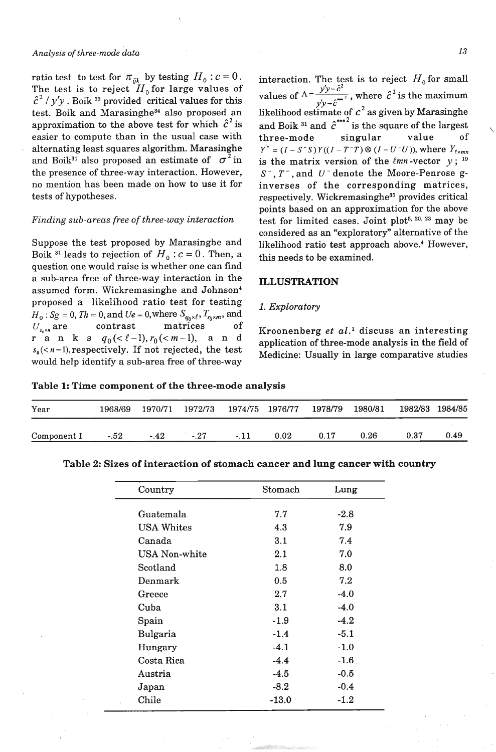# *Analysis of three-mode data 13*

ratio test to test for  $\pi_{ijk}$  by testing  $H_0$ :  $c = 0$ . The test is to reject  $\boldsymbol{H}_0$  for large values of  $\hat{c}^2$  /  $y'y$ . Boik <sup>33</sup> provided critical values for this test. Boik and Marasinghe<sup>34</sup> also proposed an approximation to the above test for which  $\hat{c}^2$  is easier to compute than in the usual case with alternating least squares algorithm. Marasinghe and Boik<sup>31</sup> also proposed an estimate of  $\sigma^2$  in the presence of three-way interaction. However, no mention has been made on how to use it for tests of hypotheses.

## *Finding sub-areas free of three-way interaction*

Suppose the test proposed by Marasinghe and Boik <sup>31</sup> leads to rejection of  $H_0$ :  $c = 0$ . Then, a question one would raise is whether one can find a sub-area free of three-way interaction in the ILLUSTRATION assumed form. Wickremasinghe and Johnson4 proposed a likelihood ratio test for testing *I. Exploratory*  $H_0: Sg = 0$ ,  $Th = 0$ , and  $Ue = 0$ , where  $S_{q_0 \times \ell}, T_{r_0 \times m}$ , and  $U_{s_0 \times n}$  are contrast matrices of Kroonenberg *et al.*<sup>1</sup> discuss an interesting **p** a n k s  $q_0 \leq \ell - 1$ ,  $r_0 \leq m - 1$ , a n d application of three-mode analysis in the field of  $s_0$ ( $\lt n-1$ ), respectively. If not rejected, the test Medicine: Usually in large comparative studies would help identify a sub-area free of three-way

interaction. The test is to reject  $H_0$  for small values of  $\Delta = \frac{y'y-\hat{c}^2}{l}$ , where  $\hat{c}^2$  is the maximum *Ylv-c*  likelihood estimate of  $c^2$  as given by Marasinghe and Boik <sup>31</sup> and  $\hat{c}^{***2}$  is the square of the largest<br>three-mode singular value of three-mode singular value of  $Y^* = (I - S^{-}S)Y((I - T^{-}T) \otimes (I - U^{-}U))$ , where  $Y_{\ell \times mn}$ is the matrix version of the  $\ell mn$ -vector  $y$ ; <sup>19</sup> *S* - , T - , and *U* - denote the Moore-Penrose ginverses of the corresponding matrices, respectively. Wickremasinghe<sup>35</sup> provides critical points based on an approximation for the above test for limited cases. Joint plot<sup>5, 20, 23</sup> may be considered as an "exploratory" alternative of the likelihood ratio test approach above.4 However, this needs to be examined.

Table 1: Time component of the three-mode analysis

| Year        | 1968/69 |       | 1970/71 1972/73 1974/75 1976/77 1978/79 |        |      |      | 1980/81 |      | 1982/83 1984/85 |
|-------------|---------|-------|-----------------------------------------|--------|------|------|---------|------|-----------------|
| Component 1 | $-.52$  | $-42$ | $-27$                                   | $-.11$ | 0.02 | 0.17 | 0.26    | 0.37 | 0.49            |

| Country       | Stomach | Lung   |  |
|---------------|---------|--------|--|
| Guatemala     | 7.7     | $-2.8$ |  |
| USA Whites    | 4.3     | 7.9    |  |
| Canada        | 3.1     | 7.4    |  |
| USA Non-white | 2.1     | 7.0    |  |
| Scotland      | 1.8     | 8.0    |  |
| Denmark       | 0.5     | 7.2    |  |
| Greece        | 2.7     | $-4.0$ |  |
| Cuba          | 3.1     | $-4.0$ |  |
| Spain         | $-1.9$  | $-4.2$ |  |
| Bulgaria      | $-1.4$  | $-5.1$ |  |
| Hungary       | $-4.1$  | $-1.0$ |  |
| Costa Rica    | $-4.4$  | $-1.6$ |  |
| Austria       | $-4.5$  | $-0.5$ |  |
| Japan         | $-8.2$  | $-0.4$ |  |
| Chile         | $-13.0$ | $-1.2$ |  |
|               |         |        |  |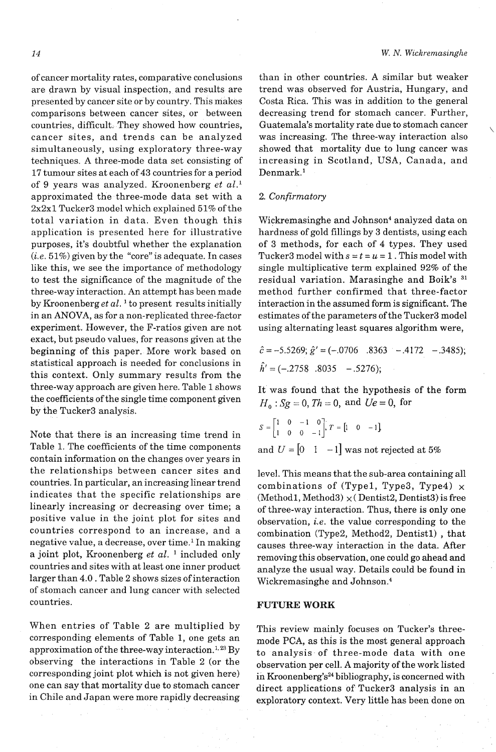of cancer mortality rates, comparative conclusions are drawn by visual inspection, and results are presented by cancer site or by country. This makes comparisons between cancer sites, or between countries, difficult. They showed how countries, cancer sites, and trends can be analyzed simultaneously, using exploratory three-way techniques. A three-mode data set consisting of 17 tumour sites at each of 43 countries for a period of 9 years was analyzed. Kroonenberg et  $al$ .<sup>1</sup> approximated the three-mode data set with a  $2x2x1$  Tucker3 model which explained 51% of the total variation in data. Even though this application is presented here for illustrative purposes, it's doubtful whether the explanation  $(i.e. 51%)$  given by the "core" is adequate. In cases like this, we see the importance of methodology to test the significance of the magnitude of the three-way interaction. An attempt has been made by Kroonenberg *et* al. ' to present results initially in an ANOVA, as for a non-replicated three-factor experiment. However, the F-ratios given are not exact, but pseudo values, for reasons given at the beginning of this paper. More work based on statistical approach is needed for conclusions in this context. Only summary results from the three-way approach are given here. Table 1 shows the coefficients of the single time component given by the Tucker3 analysis.

Note that there is an increasing time trend in Table 1. The coefficients of the time components contain information on the changes over years in the relationships between cancer sites and countries. In particular, an increasing linear trend indicates that the specific relationships are linearly increasing or decreasing over time; a positive value in the joint plot for sites and countries correspond to an increase, and a negative value, a decrease, over time.' In making a joint plot, Kroonenberg *et al.* <sup>1</sup> included only countries and sites with at least one inner product larger than 4.0. Table 2 shows sizes of interaction of stomach cancer and lung cancer with selected countries.

When entries of Table 2 are multiplied by corresponding elements of Table 1, one gets an approximation of the three-way interaction.<sup>1,23</sup> By observing the interactions in Table 2 (or the corresponding joint plot which is not given here) one can say that mortality due to stomach cancer in Chile and Japan were more rapidly decreasing

than in other countries. A similar but weaker trend was observed for Austria, Hungary, and Costa Rica. This was in addition to the general decreasing trend for stomach cancer. Further, Guatemala's mortality rate due to stomach cancer was increasing. The three-way interaction also showed that mortality due to lung cancer was increasing in Scotland, USA, Canada, and Denmark.<sup>1</sup>

### 2. Confirmatory

Wickremasinghe and Johnson<sup>4</sup> analyzed data on hardness of gold fillings by 3 dentists, using each of 3 methods, for each of 4 types. They used Tucker3 model with  $s = t = u = 1$ . This model with single multiplicative term explained 92% of the residual variation. Marasinghe and Boik's **<sup>31</sup>** method further confirmed that three-factor interaction in the assumed form is significant. The estimates of the parameters of the Tucker3 model using alternating least squares algorithm were,

$$
\hat{c} = -5.5269; \hat{g}' = (-.0706 \quad .8363 \quad -.4172 \quad -.3485);
$$
  

$$
\hat{h}' = (-.2758 \quad .8035 \quad -.5276);
$$

It was found that the hypothesis of the form *H,* : *Sg* = 0, *Th* = 0, and *Ue* = 0, for

$$
S = \begin{bmatrix} 1 & 0 & -1 & 0 \\ 1 & 0 & 0 & -1 \end{bmatrix}; T = \begin{bmatrix} 1 & 0 & -1 \end{bmatrix}
$$
  
and  $U = \begin{bmatrix} 0 & 1 & -1 \end{bmatrix}$  was not rejected at 5%

level. This means that the sub-area containing all combinations of (Type1, Type3, Type4)  $\times$  $(Method1, Method3) \times (Dentist2, Dentist3)$  is free of three-way interaction. Thus, there is only one observation, i.e. the value corresponding to the combination (Type2, Method2, Dentistl) , that causes three-way interaction in the data. After removing this observation, one could go ahead and analyze the usual way. Details could be found in Wickremasinghe and Johnson.<sup>4</sup>

# **FUTURE WORK**

This review mainly focuses on Tucker's threemode PCA, as this is the most general approach to analysis of three-mode data with one observation per cell. A majority of the work listed in Kroonenberg's<sup>24</sup> bibliography, is concerned with direct applications of Tucker3 analysis in an exploratory context. Very little has been done on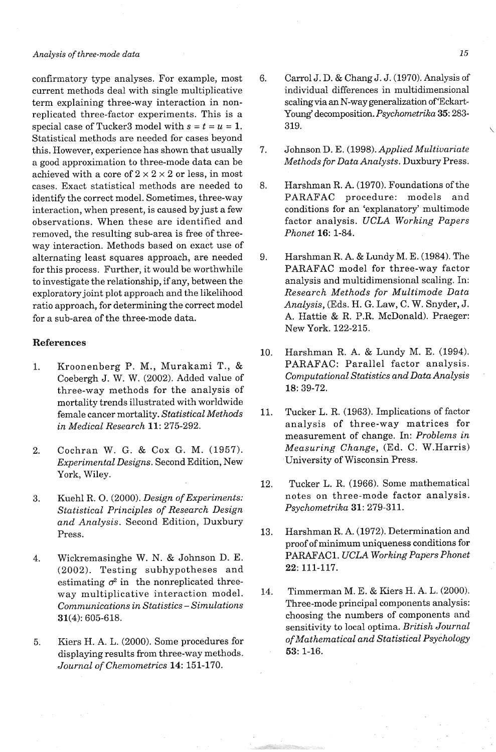#### **Analysis** *of three-mode data*

confirmatory type analyses. For example, most current methods deal with single multiplicative term explaining three-way interaction in nonreplicated three-factor experiments. This is a special case of Tucker3 model with  $s = t = u = 1$ . Statistical methods are needed for cases beyond this. However, experience has shown that usually a good approximation to three-mode data can be achieved with a core of  $2 \times 2 \times 2$  or less, in most cases. Exact statistical methods are needed to identify the correct model. Sometimes, three-way interaction, when present, is caused by just a few observations. When these are identified and removed, the resulting sub-area is free of threeway interaction. Methods based on exact use of alternating least squares approach, are needed for this process. Further, it would be worthwhile to investigate the relationship, if any, between the exploratory joint plot approach and the likelihood ratio approach, for determining the correct model for a sub-area of the three-mode data.

### **References**

- 1. Kroonenberg P. M., Murakami T., & Coebergh J. W. W. (2002). Added value of three-way methods for the analysis of mortality trends illustrated with worldwide female cancer mortality. *Statistical Methods in Medical Research* 11: 275-292.
- 2. Cochran W. G. & Cox G. M. (1957). *Experimental Designs.* Second Edition, New York, Wiley.
- 3. Kuehl R. 0. (2000). *Design of Experiments: Statistical Principles of Research Design and Analysis.* Second Edition, Duxbury Press.
- 4. Wickremasinghe W. N. & Johnson D. E. (2002). Testing subhypotheses and estimating  $\sigma^2$  in the nonreplicated threeway multiplicative interaction model. *Communications in Statistics* - *Simulations*  31(4): 605-618.
- 5. Kiers H. A. L. (2000). Some procedures for displaying results from three-way methods. *Journal of Chemometrics* 14: 151-170.
- 6. Carrol J. D. & Chang J. J. (1970). Analysis of individual differences in multidimensional scaling via an N-way generalization of Eckart-Young' decomposition. *Psychometrika* 35: 283-  $319.$
- 7. Johnson D. E. (1998). *Applied Multivariate Methods for Data Analysts.* Duxbury Press.
- 8. Harshman R. A. (1970). Foundations of the PARAFAC procedure: models and conditions for an 'explanatory' multimode factor analysis. *UCLA Working Papers Phonet* 16: 1-84.
- 9. Harshman R. A. & Lundy M. E. (1984). The PARAFAC model for three-way factor analysis and multidimensional scaling. In: *Research Methods for Multimode Data Analysis,* (Eds. H. *G.* Law, C. W. Snyder, J. **A.** Hattie & R. P.R. McDonald). Praeger: New York. 122-215.
- 10. Harshman R. A. & Lundy M. E. (1994). PARAFAC: Parallel factor analysis. *Conzputational Statistics and Data Analysis*  18: 39-72.
- 11. Tucker L. R. (1963). Implications of factor analysis of three-way matrices for measurement of change. In: *Problems in Measuring Change,* (Ed. C. W.Harris) University of Wisconsin Press.
- 12. Tucker L. R. (1966). Some mathematical notes on three-mode factor analysis. *Psychometrika* 31: 279-311.
- 13. Harshman R. A. (1972). Determination and proof of minimum uniqueness conditions for PARAFAC1. *UCLA Working Papers Phonet 22:* 111-117.
- 14. Timmerman M. E. & Kiers H. A. L. (2000). Three-mode principal components analysis: choosing the numbers of components and sensitivity to local optima. *British Journal of Mathematical and Statistical Psychology*  53: 1-16.